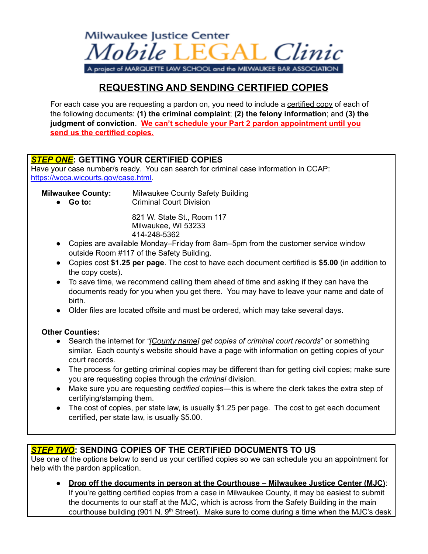

# **REQUESTING AND SENDING CERTIFIED COPIES**

For each case you are requesting a pardon on, you need to include a certified copy of each of the following documents: **(1) the criminal complaint**; **(2) the felony information**; and **(3) the judgment of conviction**. **We can't schedule your Part 2 pardon appointment until you send us the certified copies.**

### *STEP ONE***: GETTING YOUR CERTIFIED COPIES**

Have your case number/s ready. You can search for criminal case information in CCAP: [https://wcca.wicourts.gov/case.html.](https://wcca.wicourts.gov/case.html)

**Milwaukee County:** Milwaukee County Safety Building ● **Go to:** Criminal Court Division

> 821 W. State St., Room 117 Milwaukee, WI 53233 414-248-5362

- Copies are available Monday–Friday from 8am–5pm from the customer service window outside Room #117 of the Safety Building.
- Copies cost **\$1.25 per page**. The cost to have each document certified is **\$5.00** (in addition to the copy costs).
- To save time, we recommend calling them ahead of time and asking if they can have the documents ready for you when you get there. You may have to leave your name and date of birth.
- Older files are located offsite and must be ordered, which may take several days.

#### **Other Counties:**

- Search the internet for *"[County name] get copies of criminal court records*" or something similar. Each county's website should have a page with information on getting copies of your court records.
- The process for getting criminal copies may be different than for getting civil copies; make sure you are requesting copies through the *criminal* division.
- Make sure you are requesting *certified* copies—this is where the clerk takes the extra step of certifying/stamping them.
- The cost of copies, per state law, is usually \$1.25 per page. The cost to get each document certified, per state law, is usually \$5.00.

# *STEP TWO***: SENDING COPIES OF THE CERTIFIED DOCUMENTS TO US**

Use one of the options below to send us your certified copies so we can schedule you an appointment for help with the pardon application.

● **Drop off the documents in person at the Courthouse – Milwaukee Justice Center (MJC)**: If you're getting certified copies from a case in Milwaukee County, it may be easiest to submit the documents to our staff at the MJC, which is across from the Safety Building in the main courthouse building (901 N. 9<sup>th</sup> Street). Make sure to come during a time when the MJC's desk